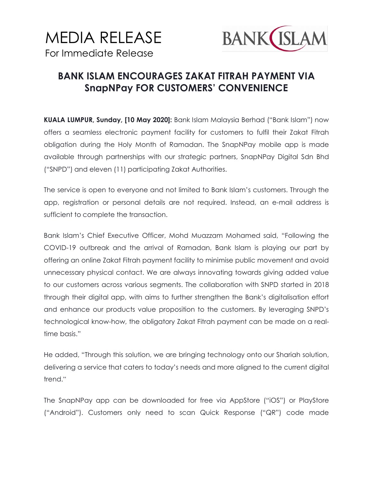## MEDIA RELEASE For Immediate Release



## **BANK ISLAM ENCOURAGES ZAKAT FITRAH PAYMENT VIA SnapNPay FOR CUSTOMERS' CONVENIENCE**

**KUALA LUMPUR, Sunday, [10 May 2020]:** Bank Islam Malaysia Berhad ("Bank Islam") now offers a seamless electronic payment facility for customers to fulfil their Zakat Fitrah obligation during the Holy Month of Ramadan. The SnapNPay mobile app is made available through partnerships with our strategic partners, SnapNPay Digital Sdn Bhd ("SNPD") and eleven (11) participating Zakat Authorities.

The service is open to everyone and not limited to Bank Islam's customers. Through the app, registration or personal details are not required. Instead, an e-mail address is sufficient to complete the transaction.

Bank Islam's Chief Executive Officer, Mohd Muazzam Mohamed said, "Following the COVID-19 outbreak and the arrival of Ramadan, Bank Islam is playing our part by offering an online Zakat Fitrah payment facility to minimise public movement and avoid unnecessary physical contact. We are always innovating towards giving added value to our customers across various segments. The collaboration with SNPD started in 2018 through their digital app, with aims to further strengthen the Bank's digitalisation effort and enhance our products value proposition to the customers. By leveraging SNPD's technological know-how, the obligatory Zakat Fitrah payment can be made on a realtime basis."

He added, "Through this solution, we are bringing technology onto our Shariah solution, delivering a service that caters to today's needs and more aligned to the current digital trend."

The SnapNPay app can be downloaded for free via AppStore ("iOS") or PlayStore ("Android"). Customers only need to scan Quick Response ("QR") code made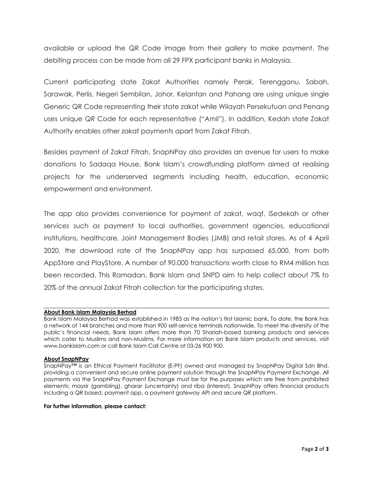available or upload the QR Code image from their gallery to make payment. The debiting process can be made from all 29 FPX participant banks in Malaysia.

Current participating state Zakat Authorities namely Perak, Terengganu, Sabah, Sarawak, Perlis, Negeri Sembilan, Johor, Kelantan and Pahang are using unique single Generic QR Code representing their state zakat while Wilayah Persekutuan and Penang uses unique QR Code for each representative ("Amil"). In addition, Kedah state Zakat Authority enables other zakat payments apart from Zakat Fitrah.

Besides payment of Zakat Fitrah, SnapNPay also provides an avenue for users to make donations to Sadaqa House, Bank Islam's crowdfunding platform aimed at realising projects for the underserved segments including health, education, economic empowerment and environment.

The app also provides convenience for payment of zakat, waqf, iSedekah or other services such as payment to local authorities, government agencies, educational institutions, healthcare, Joint Management Bodies (JMB) and retail stores. As of 4 April 2020, the download rate of the SnapNPay app has surpassed 65,000, from both AppStore and PlayStore. A number of 90,000 transactions worth close to RM4 million has been recorded. This Ramadan, Bank Islam and SNPD aim to help collect about 7% to 20% of the annual Zakat Fitrah collection for the participating states.

## **About Bank Islam Malaysia Berhad**

Bank Islam Malaysia Berhad was established in 1983 as the nation's first Islamic bank. To date, the Bank has a network of 144 branches and more than 900 self-service terminals nationwide. To meet the diversity of the public's financial needs, Bank Islam offers more than 70 Shariah-based banking products and services which cater to Muslims and non-Muslims. For more information on Bank Islam products and services, visit www.bankislam.com or call Bank Islam Call Centre at 03-26 900 900.

## **About SnapNPay**

SnapNPay™ is an Ethical Payment Facilitator (E-PF) owned and managed by SnapNPay Digital Sdn Bhd. providing a convenient and secure online payment solution through the SnapNPay Payment Exchange. All payments via the SnapNPay Payment Exchange must be for the purposes which are free from prohibited elements; maysir (gambling), gharar (uncertainty) and riba (interest). SnapNPay offers financial products including a QR based, payment app, a payment gateway API and secure QR platform.

**For further information, please contact:**